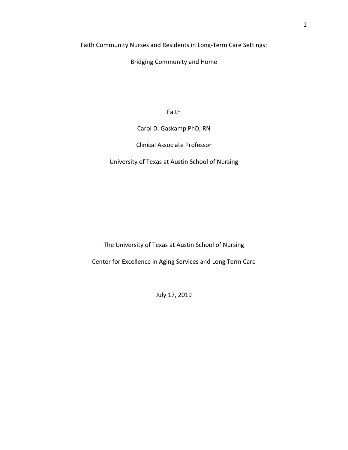Faith Community Nurses and Residents in Long-Term Care Settings:

Bridging Community and Home

Faith

Carol D. Gaskamp PhD, RN

Clinical Associate Professor

University of Texas at Austin School of Nursing

The University of Texas at Austin School of Nursing

Center for Excellence in Aging Services and Long Term Care

July 17, 2019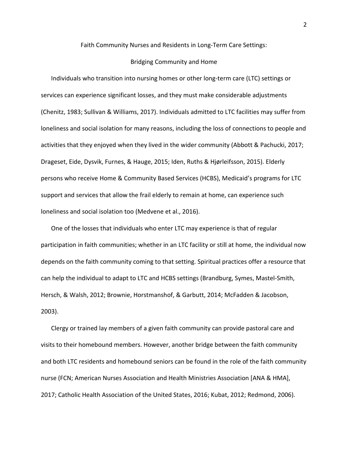### Faith Community Nurses and Residents in Long-Term Care Settings:

### Bridging Community and Home

Individuals who transition into nursing homes or other long-term care (LTC) settings or services can experience significant losses, and they must make considerable adjustments (Chenitz, 1983; Sullivan & Williams, 2017). Individuals admitted to LTC facilities may suffer from loneliness and social isolation for many reasons, including the loss of connections to people and activities that they enjoyed when they lived in the wider community (Abbott & Pachucki, 2017; Drageset, Eide, Dysvik, Furnes, & Hauge, 2015; Iden, Ruths & Hjørleifsson, 2015). Elderly persons who receive Home & Community Based Services (HCBS), Medicaid's programs for LTC support and services that allow the frail elderly to remain at home, can experience such loneliness and social isolation too (Medvene et al., 2016).

One of the losses that individuals who enter LTC may experience is that of regular participation in faith communities; whether in an LTC facility or still at home, the individual now depends on the faith community coming to that setting. Spiritual practices offer a resource that can help the individual to adapt to LTC and HCBS settings (Brandburg, Symes, Mastel-Smith, Hersch, & Walsh, 2012; Brownie, Horstmanshof, & Garbutt, 2014; McFadden & Jacobson, 2003).

Clergy or trained lay members of a given faith community can provide pastoral care and visits to their homebound members. However, another bridge between the faith community and both LTC residents and homebound seniors can be found in the role of the faith community nurse (FCN; American Nurses Association and Health Ministries Association [ANA & HMA], 2017; Catholic Health Association of the United States, 2016; Kubat, 2012; Redmond, 2006).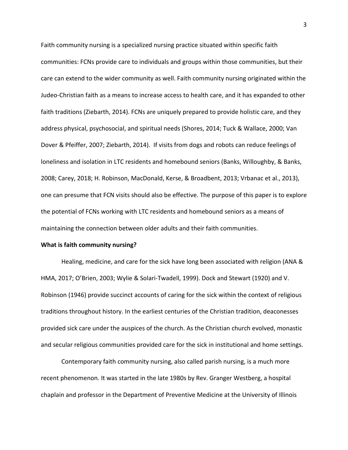Faith community nursing is a specialized nursing practice situated within specific faith communities: FCNs provide care to individuals and groups within those communities, but their care can extend to the wider community as well. Faith community nursing originated within the Judeo-Christian faith as a means to increase access to health care, and it has expanded to other faith traditions (Ziebarth, 2014). FCNs are uniquely prepared to provide holistic care, and they address physical, psychosocial, and spiritual needs (Shores, 2014; Tuck & Wallace, 2000; Van Dover & Pfeiffer, 2007; Ziebarth, 2014). If visits from dogs and robots can reduce feelings of loneliness and isolation in LTC residents and homebound seniors (Banks, Willoughby, & Banks, 2008; Carey, 2018; H. Robinson, MacDonald, Kerse, & Broadbent, 2013; Vrbanac et al., 2013), one can presume that FCN visits should also be effective. The purpose of this paper is to explore the potential of FCNs working with LTC residents and homebound seniors as a means of maintaining the connection between older adults and their faith communities.

## **What is faith community nursing?**

Healing, medicine, and care for the sick have long been associated with religion (ANA & HMA, 2017; O'Brien, 2003; Wylie & Solari-Twadell, 1999). Dock and Stewart (1920) and V. Robinson (1946) provide succinct accounts of caring for the sick within the context of religious traditions throughout history. In the earliest centuries of the Christian tradition, deaconesses provided sick care under the auspices of the church. As the Christian church evolved, monastic and secular religious communities provided care for the sick in institutional and home settings.

Contemporary faith community nursing, also called parish nursing, is a much more recent phenomenon. It was started in the late 1980s by Rev. Granger Westberg, a hospital chaplain and professor in the Department of Preventive Medicine at the University of Illinois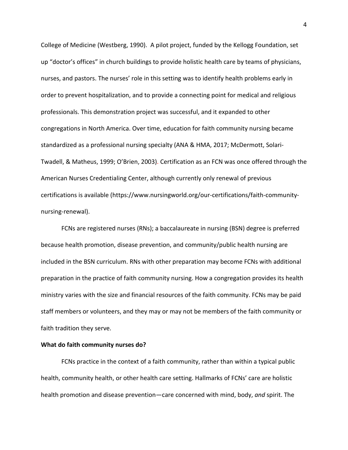College of Medicine (Westberg, 1990). A pilot project, funded by the Kellogg Foundation, set up "doctor's offices" in church buildings to provide holistic health care by teams of physicians, nurses, and pastors. The nurses' role in this setting was to identify health problems early in order to prevent hospitalization, and to provide a connecting point for medical and religious professionals. This demonstration project was successful, and it expanded to other congregations in North America. Over time, education for faith community nursing became standardized as a professional nursing specialty (ANA & HMA, 2017; McDermott, Solari-Twadell, & Matheus, 1999; O'Brien, 2003). Certification as an FCN was once offered through the American Nurses Credentialing Center, although currently only renewal of previous certifications is available (https://www.nursingworld.org/our-certifications/faith-communitynursing-renewal).

FCNs are registered nurses (RNs); a baccalaureate in nursing (BSN) degree is preferred because health promotion, disease prevention, and community/public health nursing are included in the BSN curriculum. RNs with other preparation may become FCNs with additional preparation in the practice of faith community nursing. How a congregation provides its health ministry varies with the size and financial resources of the faith community. FCNs may be paid staff members or volunteers, and they may or may not be members of the faith community or faith tradition they serve.

### **What do faith community nurses do?**

FCNs practice in the context of a faith community, rather than within a typical public health, community health, or other health care setting. Hallmarks of FCNs' care are holistic health promotion and disease prevention—care concerned with mind, body, *and* spirit. The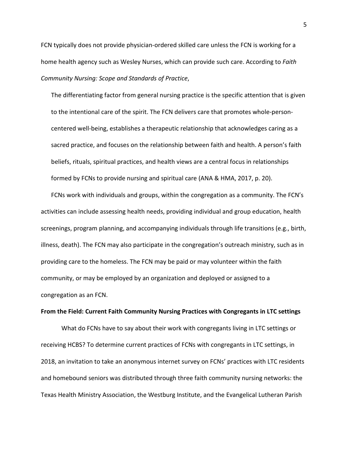FCN typically does not provide physician-ordered skilled care unless the FCN is working for a home health agency such as Wesley Nurses, which can provide such care. According to *Faith Community Nursing: Scope and Standards of Practice*,

The differentiating factor from general nursing practice is the specific attention that is given to the intentional care of the spirit. The FCN delivers care that promotes whole-personcentered well-being, establishes a therapeutic relationship that acknowledges caring as a sacred practice, and focuses on the relationship between faith and health. A person's faith beliefs, rituals, spiritual practices, and health views are a central focus in relationships formed by FCNs to provide nursing and spiritual care (ANA & HMA, 2017, p. 20).

FCNs work with individuals and groups, within the congregation as a community. The FCN's activities can include assessing health needs, providing individual and group education, health screenings, program planning, and accompanying individuals through life transitions (e.g., birth, illness, death). The FCN may also participate in the congregation's outreach ministry, such as in providing care to the homeless. The FCN may be paid or may volunteer within the faith community, or may be employed by an organization and deployed or assigned to a congregation as an FCN.

# **From the Field: Current Faith Community Nursing Practices with Congregants in LTC settings**

What do FCNs have to say about their work with congregants living in LTC settings or receiving HCBS? To determine current practices of FCNs with congregants in LTC settings, in 2018, an invitation to take an anonymous internet survey on FCNs' practices with LTC residents and homebound seniors was distributed through three faith community nursing networks: the Texas Health Ministry Association, the Westburg Institute, and the Evangelical Lutheran Parish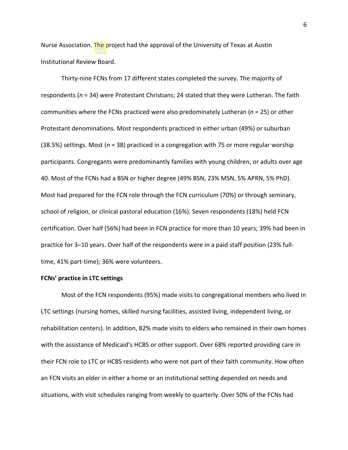Nurse Association. The project had the approval of the University of Texas at Austin Institutional Review Board.

Thirty-nine FCNs from 17 different states completed the survey. The majority of respondents (*n* = 34) were Protestant Christians; 24 stated that they were Lutheran. The faith communities where the FCNs practiced were also predominately Lutheran (*n* = 25) or other Protestant denominations. Most respondents practiced in either urban (49%) or suburban (38.5%) settings. Most (*n* = 38) practiced in a congregation with 75 or more regular worship participants. Congregants were predominantly families with young children, or adults over age 40. Most of the FCNs had a BSN or higher degree (49% BSN, 23% MSN, 5% APRN, 5% PhD). Most had prepared for the FCN role through the FCN curriculum (70%) or through seminary, school of religion, or clinical pastoral education (16%). Seven respondents (18%) held FCN certification. Over half (56%) had been in FCN practice for more than 10 years; 39% had been in practice for 3–10 years. Over half of the respondents were in a paid staff position (23% fulltime, 41% part-time); 36% were volunteers.

# **FCNs' practice in LTC settings**

Most of the FCN respondents (95%) made visits to congregational members who lived in LTC settings (nursing homes, skilled nursing facilities, assisted living, independent living, or rehabilitation centers). In addition, 82% made visits to elders who remained in their own homes with the assistance of Medicaid's HCBS or other support. Over 68% reported providing care in their FCN role to LTC or HCBS residents who were not part of their faith community. How often an FCN visits an elder in either a home or an institutional setting depended on needs and situations, with visit schedules ranging from weekly to quarterly. Over 50% of the FCNs had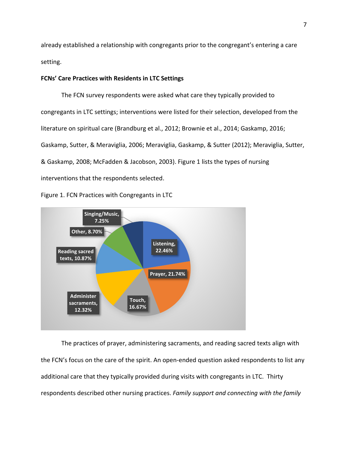already established a relationship with congregants prior to the congregant's entering a care setting.

# **FCNs' Care Practices with Residents in LTC Settings**

The FCN survey respondents were asked what care they typically provided to congregants in LTC settings; interventions were listed for their selection, developed from the literature on spiritual care (Brandburg et al., 2012; Brownie et al., 2014; Gaskamp, 2016; Gaskamp, Sutter, & Meraviglia, 2006; Meraviglia, Gaskamp, & Sutter (2012); Meraviglia, Sutter, & Gaskamp, 2008; McFadden & Jacobson, 2003). Figure 1 lists the types of nursing interventions that the respondents selected.





The practices of prayer, administering sacraments, and reading sacred texts align with the FCN's focus on the care of the spirit. An open-ended question asked respondents to list any additional care that they typically provided during visits with congregants in LTC. Thirty respondents described other nursing practices. *Family support and connecting with the family*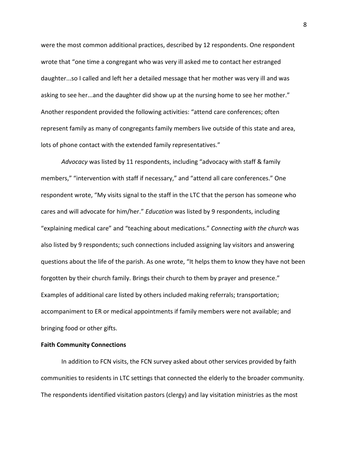were the most common additional practices, described by 12 respondents. One respondent wrote that "one time a congregant who was very ill asked me to contact her estranged daughter...so I called and left her a detailed message that her mother was very ill and was asking to see her...and the daughter did show up at the nursing home to see her mother." Another respondent provided the following activities: "attend care conferences; often represent family as many of congregants family members live outside of this state and area, lots of phone contact with the extended family representatives."

*Advocacy* was listed by 11 respondents, including "advocacy with staff & family members," "intervention with staff if necessary," and "attend all care conferences." One respondent wrote, "My visits signal to the staff in the LTC that the person has someone who cares and will advocate for him/her." *Education* was listed by 9 respondents, including "explaining medical care" and "teaching about medications." *Connecting with the church* was also listed by 9 respondents; such connections included assigning lay visitors and answering questions about the life of the parish. As one wrote, "It helps them to know they have not been forgotten by their church family. Brings their church to them by prayer and presence." Examples of additional care listed by others included making referrals; transportation; accompaniment to ER or medical appointments if family members were not available; and bringing food or other gifts.

# **Faith Community Connections**

In addition to FCN visits, the FCN survey asked about other services provided by faith communities to residents in LTC settings that connected the elderly to the broader community. The respondents identified visitation pastors (clergy) and lay visitation ministries as the most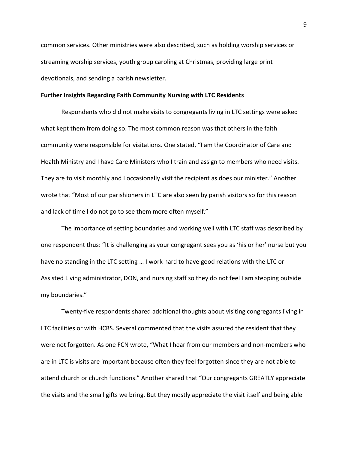common services. Other ministries were also described, such as holding worship services or streaming worship services, youth group caroling at Christmas, providing large print devotionals, and sending a parish newsletter.

### **Further Insights Regarding Faith Community Nursing with LTC Residents**

Respondents who did not make visits to congregants living in LTC settings were asked what kept them from doing so. The most common reason was that others in the faith community were responsible for visitations. One stated, "I am the Coordinator of Care and Health Ministry and I have Care Ministers who I train and assign to members who need visits. They are to visit monthly and I occasionally visit the recipient as does our minister." Another wrote that "Most of our parishioners in LTC are also seen by parish visitors so for this reason and lack of time I do not go to see them more often myself."

The importance of setting boundaries and working well with LTC staff was described by one respondent thus: "It is challenging as your congregant sees you as 'his or her' nurse but you have no standing in the LTC setting … I work hard to have good relations with the LTC or Assisted Living administrator, DON, and nursing staff so they do not feel I am stepping outside my boundaries."

Twenty-five respondents shared additional thoughts about visiting congregants living in LTC facilities or with HCBS. Several commented that the visits assured the resident that they were not forgotten. As one FCN wrote, "What I hear from our members and non-members who are in LTC is visits are important because often they feel forgotten since they are not able to attend church or church functions." Another shared that "Our congregants GREATLY appreciate the visits and the small gifts we bring. But they mostly appreciate the visit itself and being able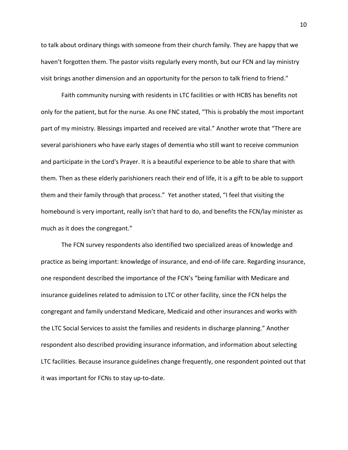to talk about ordinary things with someone from their church family. They are happy that we haven't forgotten them. The pastor visits regularly every month, but our FCN and lay ministry visit brings another dimension and an opportunity for the person to talk friend to friend."

Faith community nursing with residents in LTC facilities or with HCBS has benefits not only for the patient, but for the nurse. As one FNC stated, "This is probably the most important part of my ministry. Blessings imparted and received are vital." Another wrote that "There are several parishioners who have early stages of dementia who still want to receive communion and participate in the Lord's Prayer. It is a beautiful experience to be able to share that with them. Then as these elderly parishioners reach their end of life, it is a gift to be able to support them and their family through that process." Yet another stated, "I feel that visiting the homebound is very important, really isn't that hard to do, and benefits the FCN/lay minister as much as it does the congregant."

The FCN survey respondents also identified two specialized areas of knowledge and practice as being important: knowledge of insurance, and end-of-life care. Regarding insurance, one respondent described the importance of the FCN's "being familiar with Medicare and insurance guidelines related to admission to LTC or other facility, since the FCN helps the congregant and family understand Medicare, Medicaid and other insurances and works with the LTC Social Services to assist the families and residents in discharge planning." Another respondent also described providing insurance information, and information about selecting LTC facilities. Because insurance guidelines change frequently, one respondent pointed out that it was important for FCNs to stay up-to-date.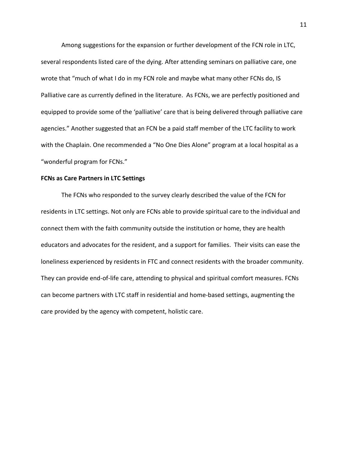Among suggestions for the expansion or further development of the FCN role in LTC, several respondents listed care of the dying. After attending seminars on palliative care, one wrote that "much of what I do in my FCN role and maybe what many other FCNs do, IS Palliative care as currently defined in the literature. As FCNs, we are perfectly positioned and equipped to provide some of the 'palliative' care that is being delivered through palliative care agencies." Another suggested that an FCN be a paid staff member of the LTC facility to work with the Chaplain. One recommended a "No One Dies Alone" program at a local hospital as a "wonderful program for FCNs."

## **FCNs as Care Partners in LTC Settings**

The FCNs who responded to the survey clearly described the value of the FCN for residents in LTC settings. Not only are FCNs able to provide spiritual care to the individual and connect them with the faith community outside the institution or home, they are health educators and advocates for the resident, and a support for families. Their visits can ease the loneliness experienced by residents in FTC and connect residents with the broader community. They can provide end-of-life care, attending to physical and spiritual comfort measures. FCNs can become partners with LTC staff in residential and home-based settings, augmenting the care provided by the agency with competent, holistic care.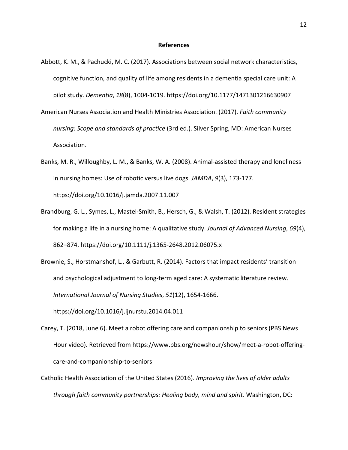#### **References**

- Abbott, K. M., & Pachucki, M. C. (2017). Associations between social network characteristics, cognitive function, and quality of life among residents in a dementia special care unit: A pilot study. *Dementia*, *18*(8), 1004-1019. https://doi.org/10.1177/1471301216630907
- American Nurses Association and Health Ministries Association. (2017). *Faith community nursing: Scope and standards of practice* (3rd ed.). Silver Spring, MD: American Nurses Association.
- Banks, M. R., Willoughby, L. M., & Banks, W. A. (2008). Animal-assisted therapy and loneliness in nursing homes: Use of robotic versus live dogs. *JAMDA*, *9*(3), 173-177. https://doi.org/10.1016/j.jamda.2007.11.007
- Brandburg, G. L., Symes, L., Mastel-Smith, B., Hersch, G., & Walsh, T. (2012). Resident strategies for making a life in a nursing home: A qualitative study. *Journal of Advanced Nursing*, *69*(4), 862–874. https://doi.org/10.1111/j.1365-2648.2012.06075.x
- Brownie, S., Horstmanshof, L., & Garbutt, R. (2014). Factors that impact residents' transition and psychological adjustment to long-term aged care: A systematic literature review. *International Journal of Nursing Studies*, *51*(12), 1654-1666. https://doi.org/10.1016/j.ijnurstu.2014.04.011

Carey, T. (2018, June 6). Meet a robot offering care and companionship to seniors (PBS News Hour video). Retrieved from https://www.pbs.org/newshour/show/meet-a-robot-offeringcare-and-companionship-to-seniors

Catholic Health Association of the United States (2016). *Improving the lives of older adults through faith community partnerships: Healing body, mind and spirit*. Washington, DC: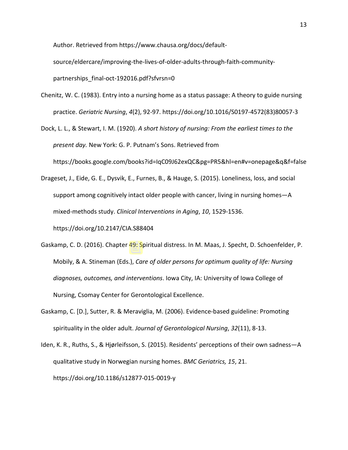Author. Retrieved from https://www.chausa.org/docs/default-

source/eldercare/improving-the-lives-of-older-adults-through-faith-communitypartnerships final-oct-192016.pdf?sfvrsn=0

Chenitz, W. C. (1983). Entry into a nursing home as a status passage: A theory to guide nursing practice. *Geriatric Nursing*, *4*(2), 92-97. https://doi.org/10.1016/S0197-4572(83)80057-3

Dock, L. L., & Stewart, I. M. (1920). *A short history of nursing: From the earliest times to the present day.* New York: G. P. Putnam's Sons. Retrieved from https://books.google.com/books?id=IqC09J62exQC&pg=PR5&hl=en#v=onepage&q&f=false

Drageset, J., Eide, G. E., Dysvik, E., Furnes, B., & Hauge, S. (2015). Loneliness, loss, and social support among cognitively intact older people with cancer, living in nursing homes—A mixed-methods study. *Clinical Interventions in Aging*, *10*, 1529-1536.

https://doi.org/10.2147/CIA.S88404

- Gaskamp, C. D. (2016). Chapter 49: Spiritual distress. In M. Maas, J. Specht, D. Schoenfelder, P. Mobily, & A. Stineman (Eds.), *Care of older persons for optimum quality of life: Nursing diagnoses, outcomes, and interventions*. Iowa City, IA: University of Iowa College of Nursing, Csomay Center for Gerontological Excellence.
- Gaskamp, C. [D.], Sutter, R. & Meraviglia, M. (2006). Evidence-based guideline: Promoting spirituality in the older adult. *Journal of Gerontological Nursing*, *32*(11), 8-13.

Iden, K. R., Ruths, S., & Hjørleifsson, S. (2015). Residents' perceptions of their own sadness—A qualitative study in Norwegian nursing homes. *BMC Geriatrics, 15*, 21. https://doi.org/10.1186/s12877-015-0019-y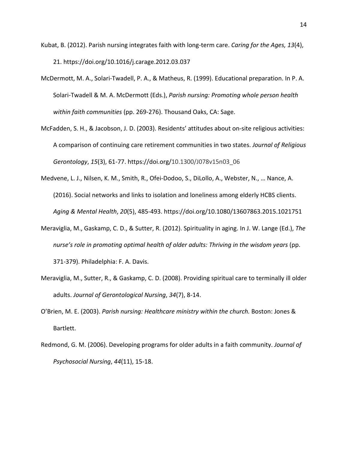- Kubat, B. (2012). Parish nursing integrates faith with long-term care. *Caring for the Ages, 13*(4), 21. https://doi.org/10.1016/j.carage.2012.03.037
- McDermott, M. A., Solari-Twadell, P. A., & Matheus, R. (1999). Educational preparation. In P. A. Solari-Twadell & M. A. McDermott (Eds.), *Parish nursing: Promoting whole person health within faith communities* (pp. 269-276). Thousand Oaks, CA: Sage.
- McFadden, S. H., & Jacobson, J. D. (2003). Residents' attitudes about on-site religious activities: A comparison of continuing care retirement communities in two states. *Journal of Religious Gerontology*, *15*(3), 61-77. https://doi.org/10.1300/J078v15n03\_06
- Medvene, L. J., Nilsen, K. M., Smith, R., Ofei-Dodoo, S., DiLollo, A., Webster, N., … Nance, A. (2016). Social networks and links to isolation and loneliness among elderly HCBS clients. *Aging & Mental Health*, *20*(5), 485-493. https://doi.org/10.1080/13607863.2015.1021751
- Meraviglia, M., Gaskamp, C. D., & Sutter, R. (2012). Spirituality in aging. In J. W. Lange (Ed.), *The nurse's role in promoting optimal health of older adults: Thriving in the wisdom years* (pp. 371-379). Philadelphia: F. A. Davis.
- Meraviglia, M., Sutter, R., & Gaskamp, C. D. (2008). Providing spiritual care to terminally ill older adults. *Journal of Gerontological Nursing*, *34*(7), 8-14.
- O'Brien, M. E. (2003). *Parish nursing: Healthcare ministry within the church.* Boston: Jones & Bartlett.
- Redmond, G. M. (2006). Developing programs for older adults in a faith community. *Journal of Psychosocial Nursing*, *44*(11), 15-18.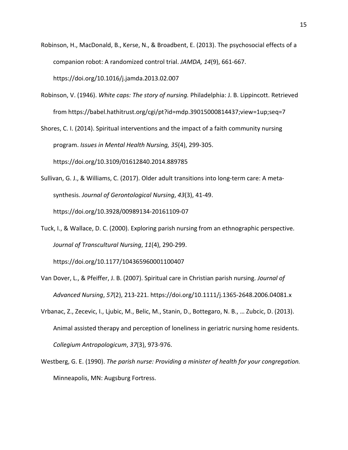- Robinson, H., MacDonald, B., Kerse, N., & Broadbent, E. (2013). The psychosocial effects of a companion robot: A randomized control trial. *JAMDA, 14*(9), 661-667. https://doi.org/10.1016/j.jamda.2013.02.007
- Robinson, V. (1946). *White caps: The story of nursing.* Philadelphia: J. B. Lippincott. Retrieved from https://babel.hathitrust.org/cgi/pt?id=mdp.39015000814437;view=1up;seq=7

Shores, C. I. (2014). Spiritual interventions and the impact of a faith community nursing program. *Issues in Mental Health Nursing, 35*(4), 299-305. https://doi.org/10.3109/01612840.2014.889785

Sullivan, G. J., & Williams, C. (2017). Older adult transitions into long-term care: A metasynthesis. *Journal of Gerontological Nursing*, *43*(3), 41-49. https://doi.org/10.3928/00989134-20161109-07

Tuck, I., & Wallace, D. C. (2000). Exploring parish nursing from an ethnographic perspective. *Journal of Transcultural Nursing*, *11*(4), 290-299.

https://doi.org/10.1177/104365960001100407

- Van Dover, L., & Pfeiffer, J. B. (2007). Spiritual care in Christian parish nursing. *Journal of Advanced Nursing*, *57*(2), 213-221. https://doi.org/10.1111/j.1365-2648.2006.04081.x
- Vrbanac, Z., Zecevic, I., Ljubic, M., Belic, M., Stanin, D., Bottegaro, N. B., … Zubcic, D. (2013). Animal assisted therapy and perception of loneliness in geriatric nursing home residents. *Collegium Antropologicum*, *37*(3), 973-976.
- Westberg, G. E. (1990). *The parish nurse: Providing a minister of health for your congregation.* Minneapolis, MN: Augsburg Fortress.